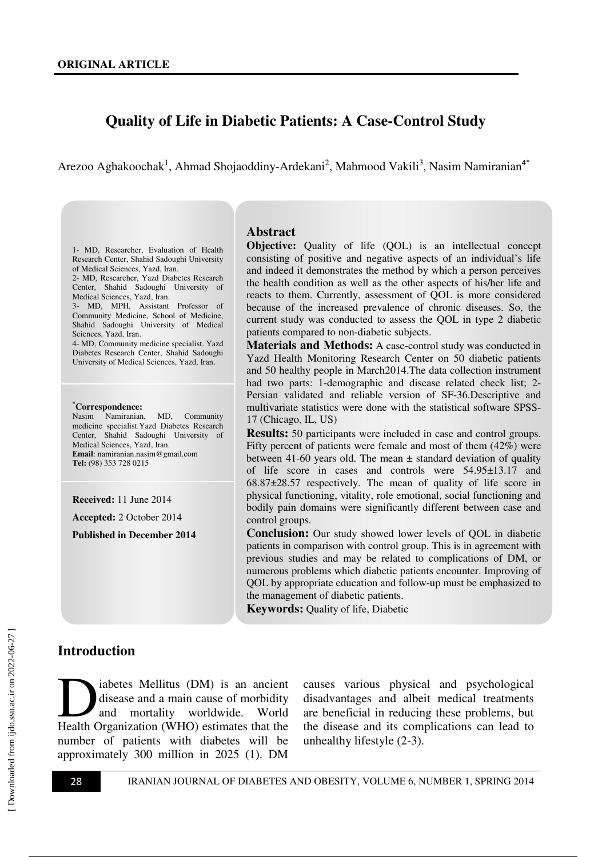# **Quality of Life in Diabetic Patients: A Case-Control Study**

Arezoo Aghakoochak<sup>1</sup>, Ahmad Shojaoddiny-Ardekani<sup>2</sup>, Mahmood Vakili<sup>3</sup>, Nasim Namiranian<sup>4\*</sup>

1- MD, Researcher, Evaluation of Health Research Center, Shahid Sadoughi University of Medical Sciences, Yazd, Iran.

2- MD, Researcher, Yazd Diabetes Research Center, Shahid Sadoughi University of Medical Sciences, Yazd, Iran.

3- MD, MPH, Assistant Professor of Community Medicine, School of Medicine, Shahid Sadoughi University of Medical Sciences, Yazd, Iran.

4- MD, Community medicine specialist. Yazd Diabetes Research Center, Shahid Sadoughi University of Medical Sciences, Yazd, Iran.

**\*Correspondence:** MD, Community medicine specialist.Yazd Diabetes Research Center, Shahid Sadoughi University of Medical Sciences, Yazd, Iran. **Email**: namiranian.nasim@gmail.com **Tel:** (98) 353 728 0215

**Received:** 11 June 2014

**Accepted:** 2 October 2014

**Published in December 2014** 

#### **Abstract**

**Objective:** Quality of life (QOL) is an intellectual concept consisting of positive and negative aspects of an individual's life and indeed it demonstrates the method by which a person perceives the health condition as well as the other aspects of his/her life and reacts to them. Currently, assessment of QOL is more considered because of the increased prevalence of chronic diseases. So, the current study was conducted to assess the QOL in type 2 diabetic patients compared to non-diabetic subjects.

**Materials and Methods:** A case-control study was conducted in Yazd Health Monitoring Research Center on 50 diabetic patients and 50 healthy people in March2014.The data collection instrument had two parts: 1-demographic and disease related check list; 2- Persian validated and reliable version of SF-36.Descriptive and multivariate statistics were done with the statistical software SPSS-17 (Chicago, IL, US)

**Results:** 50 participants were included in case and control groups. Fifty percent of patients were female and most of them (42%) were between 41-60 years old. The mean  $\pm$  standard deviation of quality of life score in cases and controls were 54.95±13.17 and 68.87±28.57 respectively. The mean of quality of life score in physical functioning, vitality, role emotional, social functioning and bodily pain domains were significantly different between case and control groups.

**Conclusion:** Our study showed lower levels of QOL in diabetic patients in comparison with control group. This is in agreement with previous studies and may be related to complications of DM, or numerous problems which diabetic patients encounter. Improving of QOL by appropriate education and follow-up must be emphasized to the management of diabetic patients.

**Keywords:** Quality of life, Diabetic

#### **Introduction**

iabetes Mellitus (DM) is an ancient disease and a main cause of morbidity and mortality worldwide. World Jabetes Mellitus (DM) is an ancient<br>disease and a main cause of morbidity<br>and mortality worldwide. World<br>Health Organization (WHO) estimates that the number of patients with diabetes will be approximately 300 million in 2025 (1). DM

causes various physical and psychological disadvantages and albeit medical treatments are beneficial in reducing these problems, but the disease and its complications can lead to unhealthy lifestyle (2-3).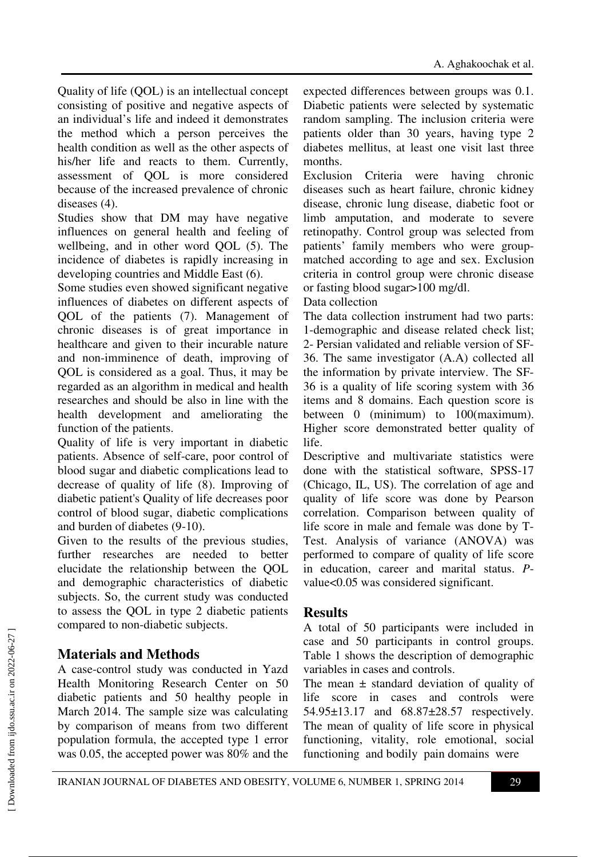Quality of life (QOL) is an intellectual concept consisting of positive and negative aspects of an individual's life and indeed it demonstrates the method which a person perceives the health condition as well as the other aspects of his/her life and reacts to them. Currently, assessment of QOL is more considered because of the increased prevalence of chronic diseases (4).

Studies show that DM may have negative influences on general health and feeling of wellbeing, and in other word QOL (5). The incidence of diabetes is rapidly increasing in developing countries and Middle East (6).

Some studies even showed significant negative influences of diabetes on different aspects of QOL of the patients (7). Management of chronic diseases is of great importance in healthcare and given to their incurable nature and non-imminence of death, improving of QOL is considered as a goal. Thus, it may be regarded as an algorithm in medical and health researches and should be also in line with the health development and ameliorating the function of the patients.

Quality of life is very important in diabetic patients. Absence of self-care, poor control of blood sugar and diabetic complications lead to decrease of quality of life (8). Improving of diabetic patient's Quality of life decreases poor control of blood sugar, diabetic complications and burden of diabetes (9-10).

Given to the results of the previous studies, further researches are needed to better elucidate the relationship between the QOL and demographic characteristics of diabetic subjects. So, the current study was conducted to assess the QOL in type 2 diabetic patients compared to non-diabetic subjects.

# **Materials and Methods**

A case-control study was conducted in Yazd Health Monitoring Research Center on 50 diabetic patients and 50 healthy people in March 2014. The sample size was calculating by comparison of means from two different population formula, the accepted type 1 error was 0.05, the accepted power was 80% and the expected differences between groups was 0.1. Diabetic patients were selected by systematic random sampling. The inclusion criteria were patients older than 30 years, having type 2 diabetes mellitus, at least one visit last three months.

Exclusion Criteria were having chronic diseases such as heart failure, chronic kidney disease, chronic lung disease, diabetic foot or limb amputation, and moderate to severe retinopathy. Control group was selected from patients' family members who were groupmatched according to age and sex. Exclusion criteria in control group were chronic disease or fasting blood sugar>100 mg/dl.

### Data collection

The data collection instrument had two parts: 1-demographic and disease related check list; 2- Persian validated and reliable version of SF-36. The same investigator (A.A) collected all the information by private interview. The SF-36 is a quality of life scoring system with 36 items and 8 domains. Each question score is between 0 (minimum) to 100(maximum). Higher score demonstrated better quality of life.

Descriptive and multivariate statistics were done with the statistical software, SPSS-17 (Chicago, IL, US). The correlation of age and quality of life score was done by Pearson correlation. Comparison between quality of life score in male and female was done by T-Test. Analysis of variance (ANOVA) was performed to compare of quality of life score in education, career and marital status. *P*value<0.05 was considered significant.

## **Results**

A total of 50 participants were included in case and 50 participants in control groups. Table 1 shows the description of demographic variables in cases and controls.

The mean  $\pm$  standard deviation of quality of life score in cases and controls were 54.95±13.17 and 68.87±28.57 respectively. The mean of quality of life score in physical functioning, vitality, role emotional, social functioning and bodily pain domains were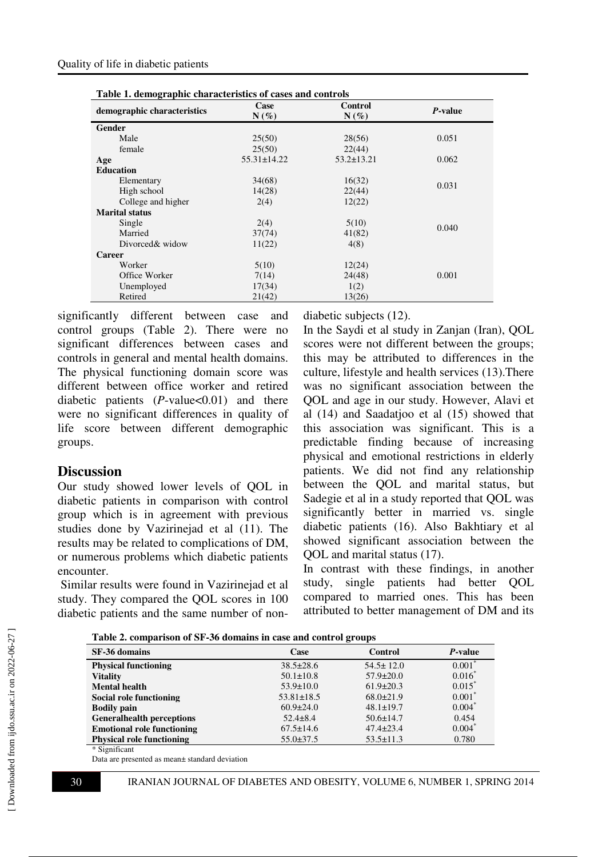| Table 1. demographic characteristics of cases and controls |                   |                    |         |  |  |
|------------------------------------------------------------|-------------------|--------------------|---------|--|--|
| demographic characteristics                                | Case<br>$N(\%)$   | Control<br>$N(\%)$ | P-value |  |  |
| Gender                                                     |                   |                    |         |  |  |
| Male                                                       | 25(50)            | 28(56)             | 0.051   |  |  |
| female                                                     | 25(50)            | 22(44)             |         |  |  |
| Age                                                        | $55.31 \pm 14.22$ | $53.2 \pm 13.21$   | 0.062   |  |  |
| <b>Education</b>                                           |                   |                    |         |  |  |
| Elementary                                                 | 34(68)            | 16(32)             | 0.031   |  |  |
| High school                                                | 14(28)            | 22(44)             |         |  |  |
| College and higher                                         | 2(4)              | 12(22)             |         |  |  |
| <b>Marital status</b>                                      |                   |                    |         |  |  |
| Single                                                     | 2(4)              | 5(10)              |         |  |  |
| Married                                                    | 37(74)            | 41(82)             | 0.040   |  |  |
| Divorced& widow                                            | 11(22)            | 4(8)               |         |  |  |
| Career                                                     |                   |                    |         |  |  |
| Worker                                                     | 5(10)             | 12(24)             |         |  |  |
| Office Worker                                              | 7(14)             | 24(48)             | 0.001   |  |  |
| Unemployed                                                 | 17(34)            | 1(2)               |         |  |  |
| Retired                                                    | 21(42)            | 13(26)             |         |  |  |

**Table 1. demographic characteristics of cases and controls** 

significantly different between case and control groups (Table 2). There were no significant differences between cases and controls in general and mental health domains. The physical functioning domain score was different between office worker and retired diabetic patients (*P*-value<0.01) and there were no significant differences in quality of life score between different demographic groups.

## **Discussion**

Our study showed lower levels of QOL in diabetic patients in comparison with control group which is in agreement with previous studies done by Vazirinejad et al (11). The results may be related to complications of DM, or numerous problems which diabetic patients encounter.

 Similar results were found in Vazirinejad et al study. They compared the QOL scores in 100 diabetic patients and the same number of nondiabetic subjects (12).

In the Saydi et al study in Zanjan (Iran), QOL scores were not different between the groups; this may be attributed to differences in the culture, lifestyle and health services (13).There was no significant association between the QOL and age in our study. However, Alavi et al (14) and Saadatjoo et al (15) showed that this association was significant. This is a predictable finding because of increasing physical and emotional restrictions in elderly patients. We did not find any relationship between the QOL and marital status, but Sadegie et al in a study reported that QOL was significantly better in married vs. single diabetic patients (16). Also Bakhtiary et al showed significant association between the QOL and marital status (17).

In contrast with these findings, in another study, single patients had better QOL compared to married ones. This has been attributed to better management of DM and its

| SF-36 domains                     | Case             | Control         | P-value              |  |
|-----------------------------------|------------------|-----------------|----------------------|--|
| <b>Physical functioning</b>       | $38.5 \pm 28.6$  | $54.5 \pm 12.0$ | $0.001*$             |  |
| <b>Vitality</b>                   | $50.1 \pm 10.8$  | $57.9 \pm 20.0$ | $0.016^*$            |  |
| <b>Mental health</b>              | $53.9 \pm 10.0$  | $61.9 \pm 20.3$ | $0.015$ <sup>*</sup> |  |
| Social role functioning           | $53.81 \pm 18.5$ | $68.0\pm21.9$   | $0.001*$             |  |
| <b>Bodily pain</b>                | $60.9 \pm 24.0$  | $48.1 \pm 19.7$ | $0.004*$             |  |
| <b>Generalhealth perceptions</b>  | $52.4 \pm 8.4$   | $50.6 \pm 14.7$ | 0.454                |  |
| <b>Emotional role functioning</b> | $67.5 \pm 14.6$  | $47.4 \pm 23.4$ | $0.004*$             |  |
| <b>Physical role functioning</b>  | $55.0 \pm 37.5$  | $53.5 \pm 11.3$ | 0.780                |  |
| $\mathbf{a} \cdot \mathbf{a}$     |                  |                 |                      |  |

**Table 2. comparison of SF-36 domains in case and control groups** 

\* Significant

Data are presented as mean± standard deviation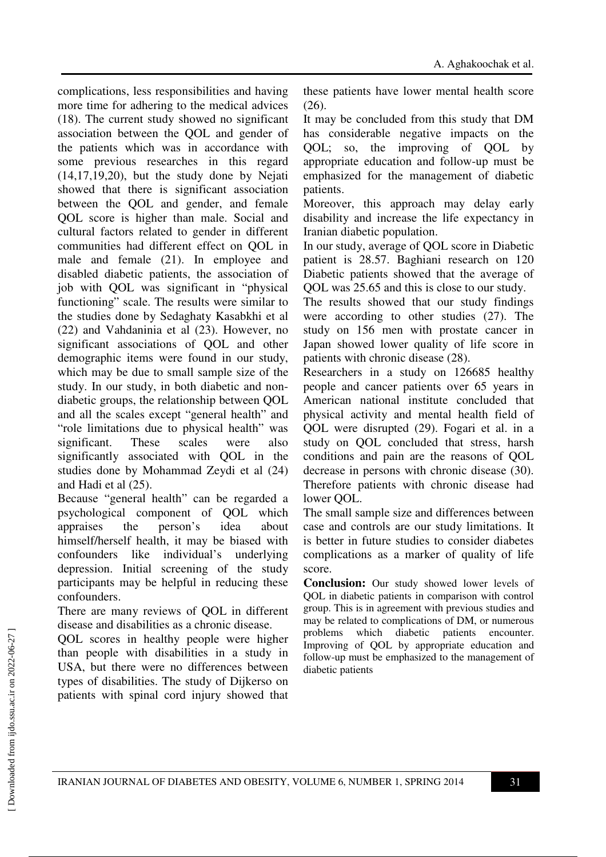complications, less responsibilities and having more time for adhering to the medical advices (18). The current study showed no significant association between the QOL and gender of the patients which was in accordance with some previous researches in this regard  $(14,17,19,20)$ , but the study done by Nejati showed that there is significant association between the QOL and gender, and female QOL score is higher than male. Social and cultural factors related to gender in different communities had different effect on QOL in male and female (21). In employee and disabled diabetic patients, the association of job with QOL was significant in "physical functioning" scale. The results were similar to the studies done by Sedaghaty Kasabkhi et al (22) and Vahdaninia et al (23). However, no significant associations of QOL and other demographic items were found in our study, which may be due to small sample size of the study. In our study, in both diabetic and nondiabetic groups, the relationship between QOL and all the scales except "general health" and "role limitations due to physical health" was significant. These scales were also significantly associated with QOL in the studies done by Mohammad Zeydi et al (24) and Hadi et al (25).

Because "general health" can be regarded a psychological component of QOL which appraises the person's idea about himself/herself health, it may be biased with confounders like individual's underlying depression. Initial screening of the study participants may be helpful in reducing these confounders.

There are many reviews of QOL in different disease and disabilities as a chronic disease.

QOL scores in healthy people were higher than people with disabilities in a study in USA, but there were no differences between types of disabilities. The study of Dijkerso on patients with spinal cord injury showed that these patients have lower mental health score (26).

It may be concluded from this study that DM has considerable negative impacts on the QOL; so, the improving of QOL by appropriate education and follow-up must be emphasized for the management of diabetic patients.

Moreover, this approach may delay early disability and increase the life expectancy in Iranian diabetic population.

In our study, average of QOL score in Diabetic patient is 28.57. Baghiani research on 120 Diabetic patients showed that the average of QOL was 25.65 and this is close to our study.

The results showed that our study findings were according to other studies (27). The study on 156 men with prostate cancer in Japan showed lower quality of life score in patients with chronic disease (28).

Researchers in a study on 126685 healthy people and cancer patients over 65 years in American national institute concluded that physical activity and mental health field of QOL were disrupted (29). Fogari et al. in a study on QOL concluded that stress, harsh conditions and pain are the reasons of QOL decrease in persons with chronic disease (30). Therefore patients with chronic disease had lower QOL.

The small sample size and differences between case and controls are our study limitations. It is better in future studies to consider diabetes complications as a marker of quality of life score.

**Conclusion:** Our study showed lower levels of QOL in diabetic patients in comparison with control group. This is in agreement with previous studies and may be related to complications of DM, or numerous problems which diabetic patients encounter. Improving of QOL by appropriate education and follow-up must be emphasized to the management of diabetic patients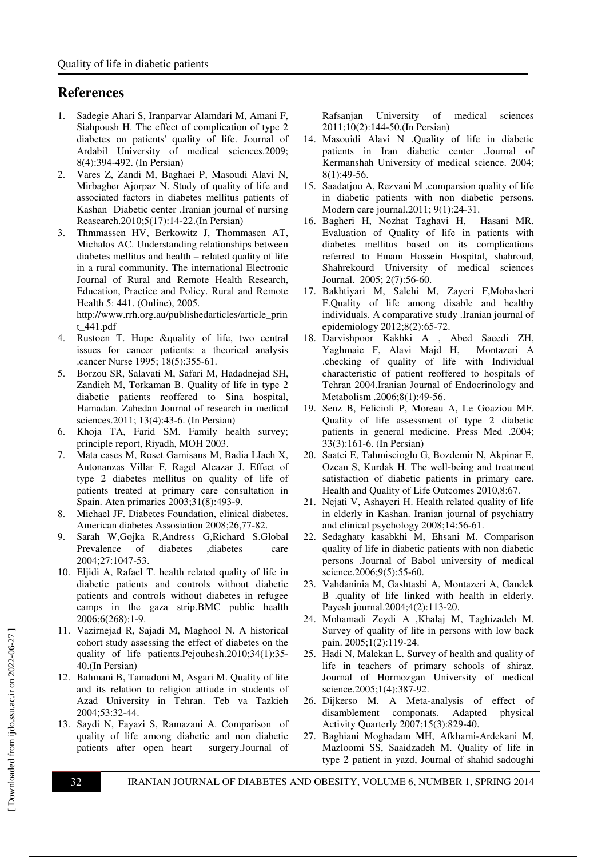# **References**

- 1. Sadegie Ahari S, Iranparvar Alamdari M, Amani F, Siahpoush H. The effect of complication of type 2 diabetes on patients' quality of life. Journal of Ardabil University of medical sciences.2009; 8(4):394-492. (In Persian)
- 2. Vares Z, Zandi M, Baghaei P, Masoudi Alavi N, Mirbagher Ajorpaz N. Study of quality of life and associated factors in diabetes mellitus patients of Kashan Diabetic center .Iranian journal of nursing Reasearch.2010;5(17):14-22.(In Persian)
- 3. Thmmassen HV, Berkowitz J, Thommasen AT, Michalos AC. Understanding relationships between diabetes mellitus and health – related quality of life in a rural community. The international Electronic Journal of Rural and Remote Health Research, Education, Practice and Policy. Rural and Remote Health 5: 441. (Online), 2005.

http://www.rrh.org.au/publishedarticles/article\_prin t\_441.pdf

- 4. Rustoen T. Hope &quality of life, two central issues for cancer patients: a theorical analysis .cancer Nurse 1995; 18(5):355-61.
- 5. Borzou SR, Salavati M, Safari M, Hadadnejad SH, Zandieh M, Torkaman B. Quality of life in type 2 diabetic patients reoffered to Sina hospital, Hamadan. Zahedan Journal of research in medical sciences.2011; 13(4):43-6. (In Persian)
- 6. Khoja TA, Farid SM. Family health survey; principle report, Riyadh, MOH 2003.
- 7. Mata cases M, Roset Gamisans M, Badia LIach X, Antonanzas Villar F, Ragel Alcazar J. Effect of type 2 diabetes mellitus on quality of life of patients treated at primary care consultation in Spain. Aten primaries 2003;31(8):493-9.
- 8. Michael JF. Diabetes Foundation, clinical diabetes. American diabetes Assosiation 2008;26,77-82.
- 9. Sarah W,Gojka R,Andress G,Richard S.Global Prevalence of diabetes ,diabetes care 2004;27:1047-53.
- 10. Eljidi A, Rafael T. health related quality of life in diabetic patients and controls without diabetic patients and controls without diabetes in refugee camps in the gaza strip.BMC public health 2006;6(268):1-9.
- 11. Vazirnejad R, Sajadi M, Maghool N. A historical cohort study assessing the effect of diabetes on the quality of life patients.Pejouhesh.2010;34(1):35- 40.(In Persian)
- 12. Bahmani B, Tamadoni M, Asgari M. Quality of life and its relation to religion attiude in students of Azad University in Tehran. Teb va Tazkieh 2004;53:32-44.
- 13. Saydi N, Fayazi S, Ramazani A. Comparison of quality of life among diabetic and non diabetic patients after open heart surgery.Journal of

Rafsanjan University of medical sciences 2011;10(2):144-50.(In Persian)

- 14. Masouidi Alavi N .Quality of life in diabetic patients in Iran diabetic center .Journal of Kermanshah University of medical science. 2004; 8(1):49-56.
- 15. Saadatjoo A, Rezvani M .comparsion quality of life in diabetic patients with non diabetic persons. Modern care journal.2011; 9(1):24-31.
- 16. Bagheri H, Nozhat Taghavi H, Hasani MR. Evaluation of Quality of life in patients with diabetes mellitus based on its complications referred to Emam Hossein Hospital, shahroud, Shahrekourd University of medical sciences Journal. 2005; 2(7):56-60.
- 17. Bakhtiyari M, Salehi M, Zayeri F,Mobasheri F.Quality of life among disable and healthy individuals. A comparative study .Iranian journal of epidemiology 2012;8(2):65-72.
- 18. Darvishpoor Kakhki A , Abed Saeedi ZH, Yaghmaie F, Alavi Majd H, Montazeri A .checking of quality of life with Individual characteristic of patient reoffered to hospitals of Tehran 2004.Iranian Journal of Endocrinology and Metabolism .2006;8(1):49-56.
- 19. Senz B, Felicioli P, Moreau A, Le Goaziou MF. Quality of life assessment of type 2 diabetic patients in general medicine. Press Med .2004; 33(3):161-6. (In Persian)
- 20. Saatci E, Tahmiscioglu G, Bozdemir N, Akpinar E, Ozcan S, Kurdak H. The well-being and treatment satisfaction of diabetic patients in primary care. Health and Quality of Life Outcomes 2010,8:67.
- 21. Nejati V, Ashayeri H. Health related quality of life in elderly in Kashan. Iranian journal of psychiatry and clinical psychology 2008;14:56-61.
- 22. Sedaghaty kasabkhi M, Ehsani M. Comparison quality of life in diabetic patients with non diabetic persons .Journal of Babol university of medical science.2006;9(5):55-60.
- 23. Vahdaninia M, Gashtasbi A, Montazeri A, Gandek B .quality of life linked with health in elderly. Payesh journal.2004;4(2):113-20.
- 24. Mohamadi Zeydi A ,Khalaj M, Taghizadeh M. Survey of quality of life in persons with low back pain. 2005;1(2):119-24.
- 25. Hadi N, Malekan L. Survey of health and quality of life in teachers of primary schools of shiraz. Journal of Hormozgan University of medical science.2005;1(4):387-92.
- 26. Dijkerso M. A Meta-analysis of effect of disamblement componats. Adapted physical Activity Quarterly 2007;15(3):829-40.
- 27. Baghiani Moghadam MH, Afkhami-Ardekani M, Mazloomi SS, Saaidzadeh M. Quality of life in type 2 patient in yazd, Journal of shahid sadoughi